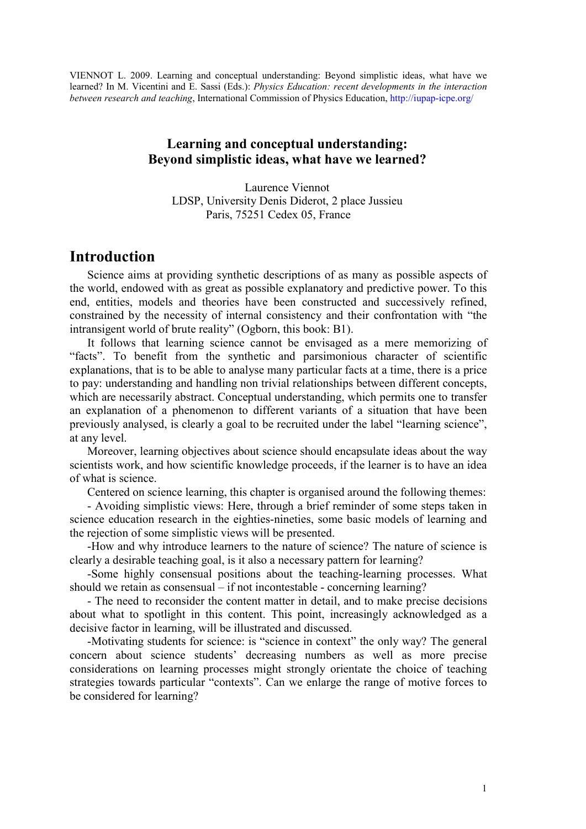VIENNOT L. 2009. Learning and conceptual understanding: Beyond simplistic ideas, what have we learned? In M. Vicentini and E. Sassi (Eds.): Physics Education: recent developments in the interaction between research and teaching, International Commission of Physics Education, http://iupap-icpe.org/

### Learning and conceptual understanding: Beyond simplistic ideas, what have we learned?

Laurence Viennot LDSP, University Denis Diderot, 2 place Jussieu Paris, 75251 Cedex 05, France

## Introduction

Science aims at providing synthetic descriptions of as many as possible aspects of the world, endowed with as great as possible explanatory and predictive power. To this end, entities, models and theories have been constructed and successively refined, constrained by the necessity of internal consistency and their confrontation with "the intransigent world of brute reality" (Ogborn, this book: B1).

It follows that learning science cannot be envisaged as a mere memorizing of "facts". To benefit from the synthetic and parsimonious character of scientific explanations, that is to be able to analyse many particular facts at a time, there is a price to pay: understanding and handling non trivial relationships between different concepts, which are necessarily abstract. Conceptual understanding, which permits one to transfer an explanation of a phenomenon to different variants of a situation that have been previously analysed, is clearly a goal to be recruited under the label "learning science", at any level.

Moreover, learning objectives about science should encapsulate ideas about the way scientists work, and how scientific knowledge proceeds, if the learner is to have an idea of what is science.

Centered on science learning, this chapter is organised around the following themes:

- Avoiding simplistic views: Here, through a brief reminder of some steps taken in science education research in the eighties-nineties, some basic models of learning and the rejection of some simplistic views will be presented.

-How and why introduce learners to the nature of science? The nature of science is clearly a desirable teaching goal, is it also a necessary pattern for learning?

-Some highly consensual positions about the teaching-learning processes. What should we retain as consensual – if not incontestable - concerning learning?

- The need to reconsider the content matter in detail, and to make precise decisions about what to spotlight in this content. This point, increasingly acknowledged as a decisive factor in learning, will be illustrated and discussed.

-Motivating students for science: is "science in context" the only way? The general concern about science students' decreasing numbers as well as more precise considerations on learning processes might strongly orientate the choice of teaching strategies towards particular "contexts". Can we enlarge the range of motive forces to be considered for learning?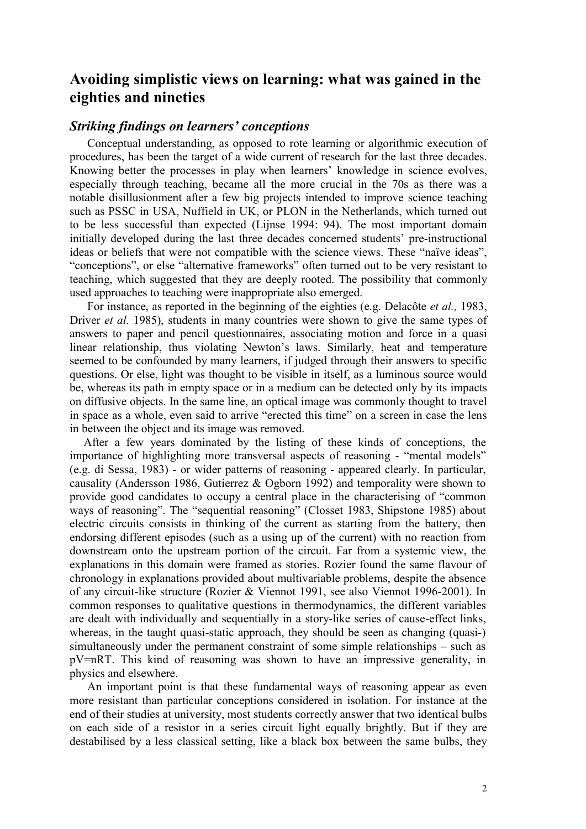# Avoiding simplistic views on learning: what was gained in the eighties and nineties

### Striking findings on learners' conceptions

Conceptual understanding, as opposed to rote learning or algorithmic execution of procedures, has been the target of a wide current of research for the last three decades. Knowing better the processes in play when learners' knowledge in science evolves, especially through teaching, became all the more crucial in the 70s as there was a notable disillusionment after a few big projects intended to improve science teaching such as PSSC in USA, Nuffield in UK, or PLON in the Netherlands, which turned out to be less successful than expected (Lijnse 1994: 94). The most important domain initially developed during the last three decades concerned students' pre-instructional ideas or beliefs that were not compatible with the science views. These "naïve ideas", "conceptions", or else "alternative frameworks" often turned out to be very resistant to teaching, which suggested that they are deeply rooted. The possibility that commonly used approaches to teaching were inappropriate also emerged.

For instance, as reported in the beginning of the eighties (e.g. Delacôte *et al.*, 1983, Driver et al. 1985), students in many countries were shown to give the same types of answers to paper and pencil questionnaires, associating motion and force in a quasi linear relationship, thus violating Newton's laws. Similarly, heat and temperature seemed to be confounded by many learners, if judged through their answers to specific questions. Or else, light was thought to be visible in itself, as a luminous source would be, whereas its path in empty space or in a medium can be detected only by its impacts on diffusive objects. In the same line, an optical image was commonly thought to travel in space as a whole, even said to arrive "erected this time" on a screen in case the lens in between the object and its image was removed.

After a few years dominated by the listing of these kinds of conceptions, the importance of highlighting more transversal aspects of reasoning - "mental models" (e.g. di Sessa, 1983) - or wider patterns of reasoning - appeared clearly. In particular, causality (Andersson 1986, Gutierrez & Ogborn 1992) and temporality were shown to provide good candidates to occupy a central place in the characterising of "common ways of reasoning". The "sequential reasoning" (Closset 1983, Shipstone 1985) about electric circuits consists in thinking of the current as starting from the battery, then endorsing different episodes (such as a using up of the current) with no reaction from downstream onto the upstream portion of the circuit. Far from a systemic view, the explanations in this domain were framed as stories. Rozier found the same flavour of chronology in explanations provided about multivariable problems, despite the absence of any circuit-like structure (Rozier & Viennot 1991, see also Viennot 1996-2001). In common responses to qualitative questions in thermodynamics, the different variables are dealt with individually and sequentially in a story-like series of cause-effect links, whereas, in the taught quasi-static approach, they should be seen as changing (quasi-) simultaneously under the permanent constraint of some simple relationships – such as pV=nRT. This kind of reasoning was shown to have an impressive generality, in physics and elsewhere.

An important point is that these fundamental ways of reasoning appear as even more resistant than particular conceptions considered in isolation. For instance at the end of their studies at university, most students correctly answer that two identical bulbs on each side of a resistor in a series circuit light equally brightly. But if they are destabilised by a less classical setting, like a black box between the same bulbs, they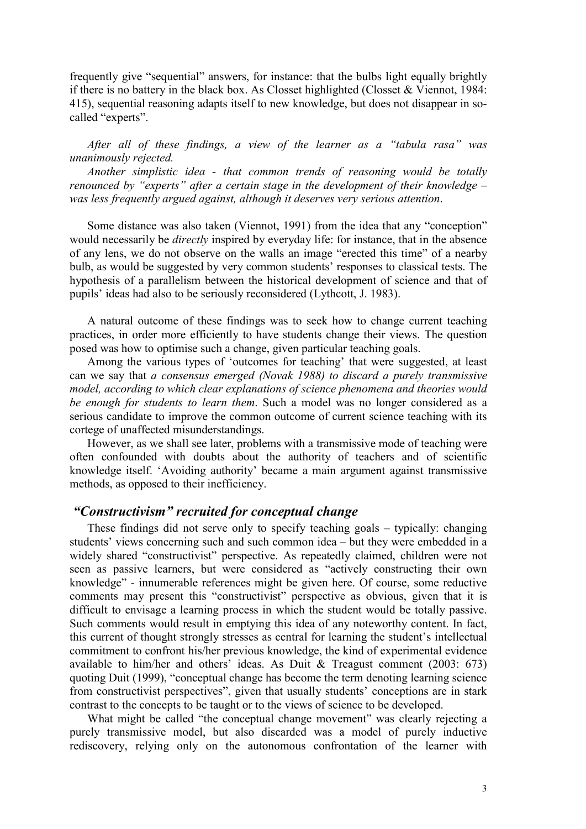frequently give "sequential" answers, for instance: that the bulbs light equally brightly if there is no battery in the black box. As Closset highlighted (Closset & Viennot, 1984: 415), sequential reasoning adapts itself to new knowledge, but does not disappear in socalled "experts".

After all of these findings, a view of the learner as a "tabula rasa" was unanimously rejected.

Another simplistic idea - that common trends of reasoning would be totally renounced by "experts" after a certain stage in the development of their knowledge – was less frequently argued against, although it deserves very serious attention.

Some distance was also taken (Viennot, 1991) from the idea that any "conception" would necessarily be *directly* inspired by everyday life: for instance, that in the absence of any lens, we do not observe on the walls an image "erected this time" of a nearby bulb, as would be suggested by very common students' responses to classical tests. The hypothesis of a parallelism between the historical development of science and that of pupils' ideas had also to be seriously reconsidered (Lythcott, J. 1983).

A natural outcome of these findings was to seek how to change current teaching practices, in order more efficiently to have students change their views. The question posed was how to optimise such a change, given particular teaching goals.

Among the various types of 'outcomes for teaching' that were suggested, at least can we say that a consensus emerged (Novak 1988) to discard a purely transmissive model, according to which clear explanations of science phenomena and theories would be enough for students to learn them. Such a model was no longer considered as a serious candidate to improve the common outcome of current science teaching with its cortege of unaffected misunderstandings.

However, as we shall see later, problems with a transmissive mode of teaching were often confounded with doubts about the authority of teachers and of scientific knowledge itself. 'Avoiding authority' became a main argument against transmissive methods, as opposed to their inefficiency.

#### "Constructivism" recruited for conceptual change

These findings did not serve only to specify teaching goals – typically: changing students' views concerning such and such common idea – but they were embedded in a widely shared "constructivist" perspective. As repeatedly claimed, children were not seen as passive learners, but were considered as "actively constructing their own knowledge" - innumerable references might be given here. Of course, some reductive comments may present this "constructivist" perspective as obvious, given that it is difficult to envisage a learning process in which the student would be totally passive. Such comments would result in emptying this idea of any noteworthy content. In fact, this current of thought strongly stresses as central for learning the student's intellectual commitment to confront his/her previous knowledge, the kind of experimental evidence available to him/her and others' ideas. As Duit & Treagust comment (2003: 673) quoting Duit (1999), "conceptual change has become the term denoting learning science from constructivist perspectives", given that usually students' conceptions are in stark contrast to the concepts to be taught or to the views of science to be developed.

What might be called "the conceptual change movement" was clearly rejecting a purely transmissive model, but also discarded was a model of purely inductive rediscovery, relying only on the autonomous confrontation of the learner with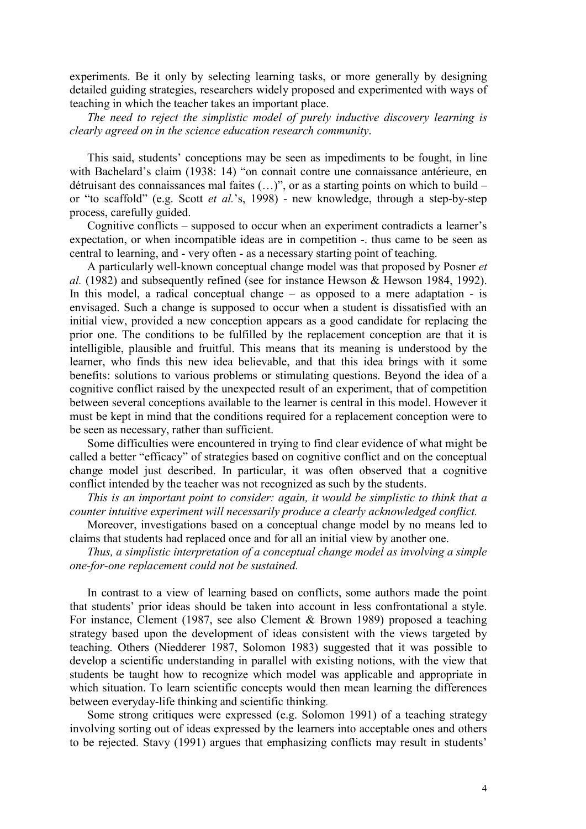experiments. Be it only by selecting learning tasks, or more generally by designing detailed guiding strategies, researchers widely proposed and experimented with ways of teaching in which the teacher takes an important place.

The need to reject the simplistic model of purely inductive discovery learning is clearly agreed on in the science education research community.

This said, students' conceptions may be seen as impediments to be fought, in line with Bachelard's claim (1938: 14) "on connait contre une connaissance antérieure, en détruisant des connaissances mal faites (…)", or as a starting points on which to build – or "to scaffold" (e.g. Scott et al.'s, 1998) - new knowledge, through a step-by-step process, carefully guided.

Cognitive conflicts – supposed to occur when an experiment contradicts a learner's expectation, or when incompatible ideas are in competition -. thus came to be seen as central to learning, and - very often - as a necessary starting point of teaching.

A particularly well-known conceptual change model was that proposed by Posner et al. (1982) and subsequently refined (see for instance Hewson & Hewson 1984, 1992). In this model, a radical conceptual change – as opposed to a mere adaptation - is envisaged. Such a change is supposed to occur when a student is dissatisfied with an initial view, provided a new conception appears as a good candidate for replacing the prior one. The conditions to be fulfilled by the replacement conception are that it is intelligible, plausible and fruitful. This means that its meaning is understood by the learner, who finds this new idea believable, and that this idea brings with it some benefits: solutions to various problems or stimulating questions. Beyond the idea of a cognitive conflict raised by the unexpected result of an experiment, that of competition between several conceptions available to the learner is central in this model. However it must be kept in mind that the conditions required for a replacement conception were to be seen as necessary, rather than sufficient.

Some difficulties were encountered in trying to find clear evidence of what might be called a better "efficacy" of strategies based on cognitive conflict and on the conceptual change model just described. In particular, it was often observed that a cognitive conflict intended by the teacher was not recognized as such by the students.

This is an important point to consider: again, it would be simplistic to think that a counter intuitive experiment will necessarily produce a clearly acknowledged conflict.

Moreover, investigations based on a conceptual change model by no means led to claims that students had replaced once and for all an initial view by another one.

Thus, a simplistic interpretation of a conceptual change model as involving a simple one-for-one replacement could not be sustained.

In contrast to a view of learning based on conflicts, some authors made the point that students' prior ideas should be taken into account in less confrontational a style. For instance, Clement (1987, see also Clement & Brown 1989) proposed a teaching strategy based upon the development of ideas consistent with the views targeted by teaching. Others (Niedderer 1987, Solomon 1983) suggested that it was possible to develop a scientific understanding in parallel with existing notions, with the view that students be taught how to recognize which model was applicable and appropriate in which situation. To learn scientific concepts would then mean learning the differences between everyday-life thinking and scientific thinking.

Some strong critiques were expressed (e.g. Solomon 1991) of a teaching strategy involving sorting out of ideas expressed by the learners into acceptable ones and others to be rejected. Stavy (1991) argues that emphasizing conflicts may result in students'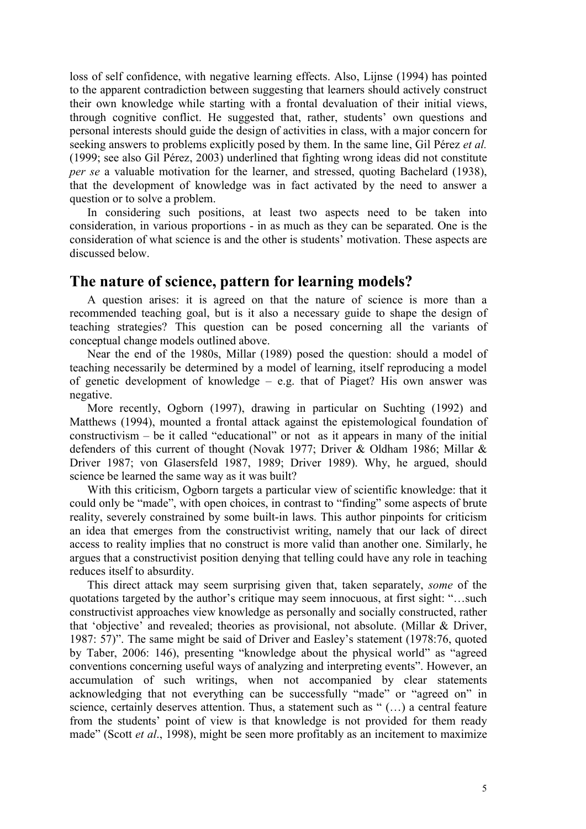loss of self confidence, with negative learning effects. Also, Lijnse (1994) has pointed to the apparent contradiction between suggesting that learners should actively construct their own knowledge while starting with a frontal devaluation of their initial views, through cognitive conflict. He suggested that, rather, students' own questions and personal interests should guide the design of activities in class, with a major concern for seeking answers to problems explicitly posed by them. In the same line, Gil Pérez et al. (1999; see also Gil Pérez, 2003) underlined that fighting wrong ideas did not constitute per se a valuable motivation for the learner, and stressed, quoting Bachelard (1938), that the development of knowledge was in fact activated by the need to answer a question or to solve a problem.

In considering such positions, at least two aspects need to be taken into consideration, in various proportions - in as much as they can be separated. One is the consideration of what science is and the other is students' motivation. These aspects are discussed below.

# The nature of science, pattern for learning models?

A question arises: it is agreed on that the nature of science is more than a recommended teaching goal, but is it also a necessary guide to shape the design of teaching strategies? This question can be posed concerning all the variants of conceptual change models outlined above.

Near the end of the 1980s, Millar (1989) posed the question: should a model of teaching necessarily be determined by a model of learning, itself reproducing a model of genetic development of knowledge – e.g. that of Piaget? His own answer was negative.

More recently, Ogborn (1997), drawing in particular on Suchting (1992) and Matthews (1994), mounted a frontal attack against the epistemological foundation of constructivism – be it called "educational" or not as it appears in many of the initial defenders of this current of thought (Novak 1977; Driver & Oldham 1986; Millar & Driver 1987; von Glasersfeld 1987, 1989; Driver 1989). Why, he argued, should science be learned the same way as it was built?

With this criticism, Ogborn targets a particular view of scientific knowledge: that it could only be "made", with open choices, in contrast to "finding" some aspects of brute reality, severely constrained by some built-in laws. This author pinpoints for criticism an idea that emerges from the constructivist writing, namely that our lack of direct access to reality implies that no construct is more valid than another one. Similarly, he argues that a constructivist position denying that telling could have any role in teaching reduces itself to absurdity.

This direct attack may seem surprising given that, taken separately, some of the quotations targeted by the author's critique may seem innocuous, at first sight: "…such constructivist approaches view knowledge as personally and socially constructed, rather that 'objective' and revealed; theories as provisional, not absolute. (Millar & Driver, 1987: 57)". The same might be said of Driver and Easley's statement (1978:76, quoted by Taber, 2006: 146), presenting "knowledge about the physical world" as "agreed conventions concerning useful ways of analyzing and interpreting events". However, an accumulation of such writings, when not accompanied by clear statements acknowledging that not everything can be successfully "made" or "agreed on" in science, certainly deserves attention. Thus, a statement such as " (…) a central feature from the students' point of view is that knowledge is not provided for them ready made" (Scott et al., 1998), might be seen more profitably as an incitement to maximize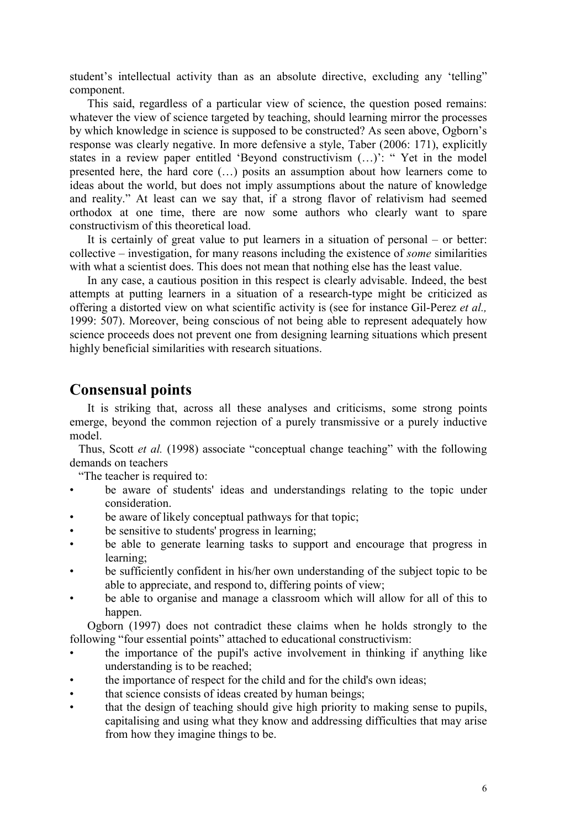student's intellectual activity than as an absolute directive, excluding any 'telling" component.

This said, regardless of a particular view of science, the question posed remains: whatever the view of science targeted by teaching, should learning mirror the processes by which knowledge in science is supposed to be constructed? As seen above, Ogborn's response was clearly negative. In more defensive a style, Taber (2006: 171), explicitly states in a review paper entitled 'Beyond constructivism (…)': " Yet in the model presented here, the hard core (…) posits an assumption about how learners come to ideas about the world, but does not imply assumptions about the nature of knowledge and reality." At least can we say that, if a strong flavor of relativism had seemed orthodox at one time, there are now some authors who clearly want to spare constructivism of this theoretical load.

It is certainly of great value to put learners in a situation of personal – or better: collective – investigation, for many reasons including the existence of some similarities with what a scientist does. This does not mean that nothing else has the least value.

In any case, a cautious position in this respect is clearly advisable. Indeed, the best attempts at putting learners in a situation of a research-type might be criticized as offering a distorted view on what scientific activity is (see for instance Gil-Perez et al., 1999: 507). Moreover, being conscious of not being able to represent adequately how science proceeds does not prevent one from designing learning situations which present highly beneficial similarities with research situations.

# Consensual points

It is striking that, across all these analyses and criticisms, some strong points emerge, beyond the common rejection of a purely transmissive or a purely inductive model.

Thus, Scott et al. (1998) associate "conceptual change teaching" with the following demands on teachers

"The teacher is required to:

- be aware of students' ideas and understandings relating to the topic under consideration.
- be aware of likely conceptual pathways for that topic;
- be sensitive to students' progress in learning;
- be able to generate learning tasks to support and encourage that progress in learning;
- be sufficiently confident in his/her own understanding of the subject topic to be able to appreciate, and respond to, differing points of view;
- be able to organise and manage a classroom which will allow for all of this to happen.

Ogborn (1997) does not contradict these claims when he holds strongly to the following "four essential points" attached to educational constructivism:

- the importance of the pupil's active involvement in thinking if anything like understanding is to be reached;
- the importance of respect for the child and for the child's own ideas;
- that science consists of ideas created by human beings;
- that the design of teaching should give high priority to making sense to pupils, capitalising and using what they know and addressing difficulties that may arise from how they imagine things to be.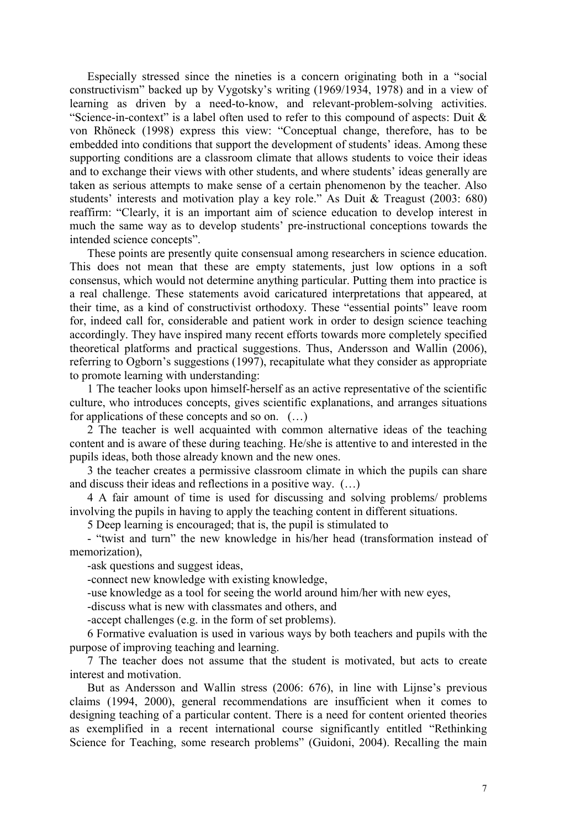Especially stressed since the nineties is a concern originating both in a "social constructivism" backed up by Vygotsky's writing (1969/1934, 1978) and in a view of learning as driven by a need-to-know, and relevant-problem-solving activities. "Science-in-context" is a label often used to refer to this compound of aspects: Duit & von Rhöneck (1998) express this view: "Conceptual change, therefore, has to be embedded into conditions that support the development of students' ideas. Among these supporting conditions are a classroom climate that allows students to voice their ideas and to exchange their views with other students, and where students' ideas generally are taken as serious attempts to make sense of a certain phenomenon by the teacher. Also students' interests and motivation play a key role." As Duit & Treagust (2003: 680) reaffirm: "Clearly, it is an important aim of science education to develop interest in much the same way as to develop students' pre-instructional conceptions towards the intended science concepts".

These points are presently quite consensual among researchers in science education. This does not mean that these are empty statements, just low options in a soft consensus, which would not determine anything particular. Putting them into practice is a real challenge. These statements avoid caricatured interpretations that appeared, at their time, as a kind of constructivist orthodoxy. These "essential points" leave room for, indeed call for, considerable and patient work in order to design science teaching accordingly. They have inspired many recent efforts towards more completely specified theoretical platforms and practical suggestions. Thus, Andersson and Wallin (2006), referring to Ogborn's suggestions (1997), recapitulate what they consider as appropriate to promote learning with understanding:

1 The teacher looks upon himself-herself as an active representative of the scientific culture, who introduces concepts, gives scientific explanations, and arranges situations for applications of these concepts and so on. (…)

2 The teacher is well acquainted with common alternative ideas of the teaching content and is aware of these during teaching. He/she is attentive to and interested in the pupils ideas, both those already known and the new ones.

3 the teacher creates a permissive classroom climate in which the pupils can share and discuss their ideas and reflections in a positive way. (…)

4 A fair amount of time is used for discussing and solving problems/ problems involving the pupils in having to apply the teaching content in different situations.

5 Deep learning is encouraged; that is, the pupil is stimulated to

- "twist and turn" the new knowledge in his/her head (transformation instead of memorization),

-ask questions and suggest ideas,

-connect new knowledge with existing knowledge,

-use knowledge as a tool for seeing the world around him/her with new eyes,

-discuss what is new with classmates and others, and

-accept challenges (e.g. in the form of set problems).

6 Formative evaluation is used in various ways by both teachers and pupils with the purpose of improving teaching and learning.

7 The teacher does not assume that the student is motivated, but acts to create interest and motivation.

But as Andersson and Wallin stress (2006: 676), in line with Lijnse's previous claims (1994, 2000), general recommendations are insufficient when it comes to designing teaching of a particular content. There is a need for content oriented theories as exemplified in a recent international course significantly entitled "Rethinking Science for Teaching, some research problems" (Guidoni, 2004). Recalling the main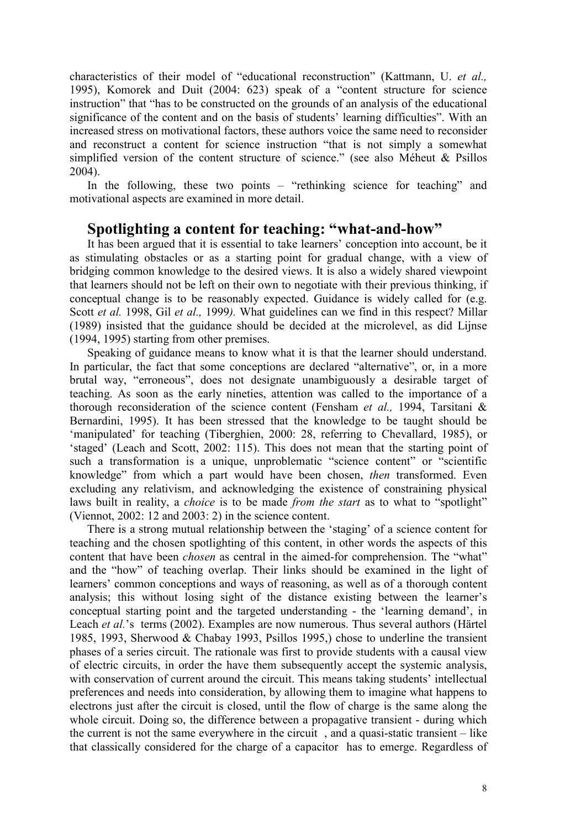characteristics of their model of "educational reconstruction" (Kattmann, U. et al., 1995), Komorek and Duit (2004: 623) speak of a "content structure for science instruction" that "has to be constructed on the grounds of an analysis of the educational significance of the content and on the basis of students' learning difficulties". With an increased stress on motivational factors, these authors voice the same need to reconsider and reconstruct a content for science instruction "that is not simply a somewhat simplified version of the content structure of science." (see also Méheut & Psillos 2004).

In the following, these two points – "rethinking science for teaching" and motivational aspects are examined in more detail.

# Spotlighting a content for teaching: "what-and-how"

It has been argued that it is essential to take learners' conception into account, be it as stimulating obstacles or as a starting point for gradual change, with a view of bridging common knowledge to the desired views. It is also a widely shared viewpoint that learners should not be left on their own to negotiate with their previous thinking, if conceptual change is to be reasonably expected. Guidance is widely called for (e.g. Scott et al. 1998, Gil et al., 1999). What guidelines can we find in this respect? Millar (1989) insisted that the guidance should be decided at the microlevel, as did Lijnse (1994, 1995) starting from other premises.

Speaking of guidance means to know what it is that the learner should understand. In particular, the fact that some conceptions are declared "alternative", or, in a more brutal way, "erroneous", does not designate unambiguously a desirable target of teaching. As soon as the early nineties, attention was called to the importance of a thorough reconsideration of the science content (Fensham et al., 1994, Tarsitani  $\&$ Bernardini, 1995). It has been stressed that the knowledge to be taught should be 'manipulated' for teaching (Tiberghien, 2000: 28, referring to Chevallard, 1985), or 'staged' (Leach and Scott, 2002: 115). This does not mean that the starting point of such a transformation is a unique, unproblematic "science content" or "scientific knowledge" from which a part would have been chosen, then transformed. Even excluding any relativism, and acknowledging the existence of constraining physical laws built in reality, a *choice* is to be made from the start as to what to "spotlight" (Viennot, 2002: 12 and 2003: 2) in the science content.

There is a strong mutual relationship between the 'staging' of a science content for teaching and the chosen spotlighting of this content, in other words the aspects of this content that have been chosen as central in the aimed-for comprehension. The "what" and the "how" of teaching overlap. Their links should be examined in the light of learners' common conceptions and ways of reasoning, as well as of a thorough content analysis; this without losing sight of the distance existing between the learner's conceptual starting point and the targeted understanding - the 'learning demand', in Leach et al.'s terms (2002). Examples are now numerous. Thus several authors (Härtel 1985, 1993, Sherwood & Chabay 1993, Psillos 1995,) chose to underline the transient phases of a series circuit. The rationale was first to provide students with a causal view of electric circuits, in order the have them subsequently accept the systemic analysis, with conservation of current around the circuit. This means taking students' intellectual preferences and needs into consideration, by allowing them to imagine what happens to electrons just after the circuit is closed, until the flow of charge is the same along the whole circuit. Doing so, the difference between a propagative transient - during which the current is not the same everywhere in the circuit , and a quasi-static transient – like that classically considered for the charge of a capacitor has to emerge. Regardless of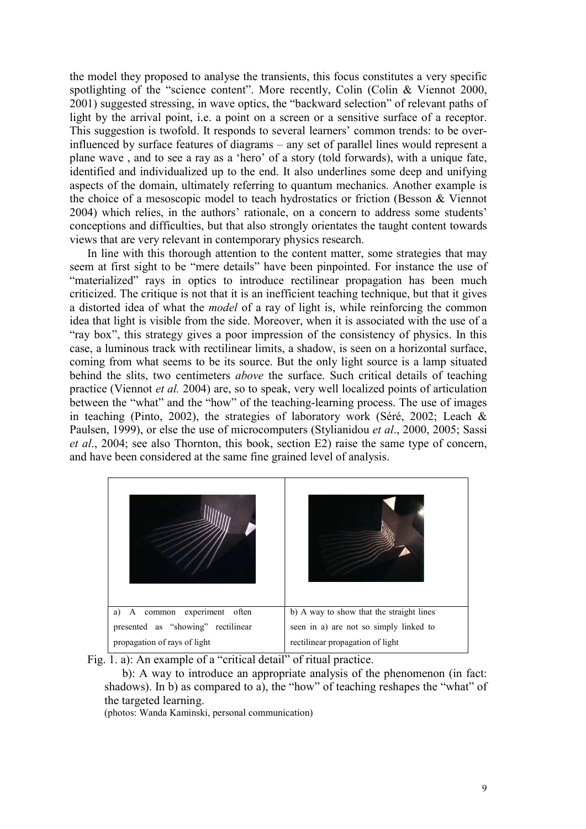the model they proposed to analyse the transients, this focus constitutes a very specific spotlighting of the "science content". More recently, Colin (Colin & Viennot 2000, 2001) suggested stressing, in wave optics, the "backward selection" of relevant paths of light by the arrival point, i.e. a point on a screen or a sensitive surface of a receptor. This suggestion is twofold. It responds to several learners' common trends: to be overinfluenced by surface features of diagrams – any set of parallel lines would represent a plane wave , and to see a ray as a 'hero' of a story (told forwards), with a unique fate, identified and individualized up to the end. It also underlines some deep and unifying aspects of the domain, ultimately referring to quantum mechanics. Another example is the choice of a mesoscopic model to teach hydrostatics or friction (Besson & Viennot 2004) which relies, in the authors' rationale, on a concern to address some students' conceptions and difficulties, but that also strongly orientates the taught content towards views that are very relevant in contemporary physics research.

In line with this thorough attention to the content matter, some strategies that may seem at first sight to be "mere details" have been pinpointed. For instance the use of "materialized" rays in optics to introduce rectilinear propagation has been much criticized. The critique is not that it is an inefficient teaching technique, but that it gives a distorted idea of what the model of a ray of light is, while reinforcing the common idea that light is visible from the side. Moreover, when it is associated with the use of a "ray box", this strategy gives a poor impression of the consistency of physics. In this case, a luminous track with rectilinear limits, a shadow, is seen on a horizontal surface, coming from what seems to be its source. But the only light source is a lamp situated behind the slits, two centimeters *above* the surface. Such critical details of teaching practice (Viennot et al. 2004) are, so to speak, very well localized points of articulation between the "what" and the "how" of the teaching-learning process. The use of images in teaching (Pinto, 2002), the strategies of laboratory work (Séré, 2002; Leach & Paulsen, 1999), or else the use of microcomputers (Stylianidou et al., 2000, 2005; Sassi et al., 2004; see also Thornton, this book, section E2) raise the same type of concern, and have been considered at the same fine grained level of analysis.

| a) A common experiment often       | b) A way to show that the straight lines |
|------------------------------------|------------------------------------------|
| presented as "showing" rectilinear | seen in a) are not so simply linked to   |
| propagation of rays of light       | rectilinear propagation of light         |

Fig. 1. a): An example of a "critical detail" of ritual practice.

 b): A way to introduce an appropriate analysis of the phenomenon (in fact: shadows). In b) as compared to a), the "how" of teaching reshapes the "what" of the targeted learning.

(photos: Wanda Kaminski, personal communication)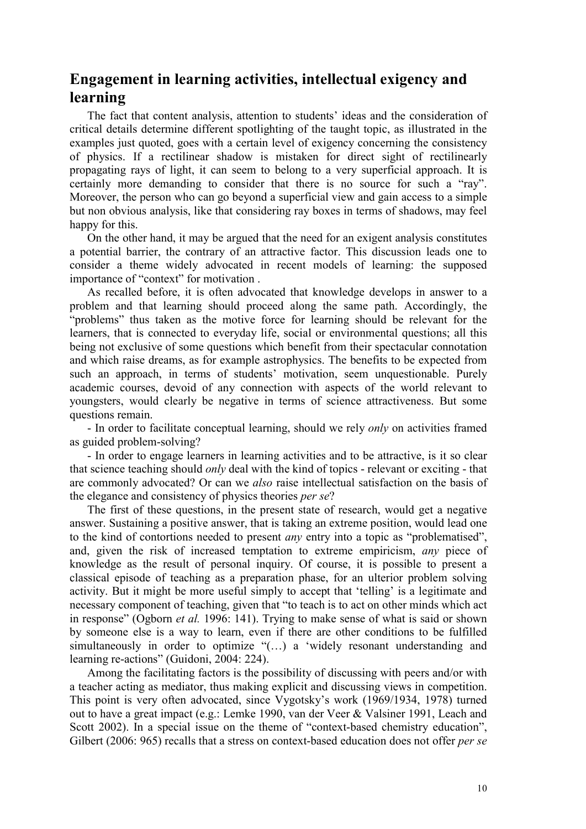# Engagement in learning activities, intellectual exigency and learning

The fact that content analysis, attention to students' ideas and the consideration of critical details determine different spotlighting of the taught topic, as illustrated in the examples just quoted, goes with a certain level of exigency concerning the consistency of physics. If a rectilinear shadow is mistaken for direct sight of rectilinearly propagating rays of light, it can seem to belong to a very superficial approach. It is certainly more demanding to consider that there is no source for such a "ray". Moreover, the person who can go beyond a superficial view and gain access to a simple but non obvious analysis, like that considering ray boxes in terms of shadows, may feel happy for this.

On the other hand, it may be argued that the need for an exigent analysis constitutes a potential barrier, the contrary of an attractive factor. This discussion leads one to consider a theme widely advocated in recent models of learning: the supposed importance of "context" for motivation .

As recalled before, it is often advocated that knowledge develops in answer to a problem and that learning should proceed along the same path. Accordingly, the "problems" thus taken as the motive force for learning should be relevant for the learners, that is connected to everyday life, social or environmental questions; all this being not exclusive of some questions which benefit from their spectacular connotation and which raise dreams, as for example astrophysics. The benefits to be expected from such an approach, in terms of students' motivation, seem unquestionable. Purely academic courses, devoid of any connection with aspects of the world relevant to youngsters, would clearly be negative in terms of science attractiveness. But some questions remain.

- In order to facilitate conceptual learning, should we rely *only* on activities framed as guided problem-solving?

- In order to engage learners in learning activities and to be attractive, is it so clear that science teaching should *only* deal with the kind of topics - relevant or exciting - that are commonly advocated? Or can we also raise intellectual satisfaction on the basis of the elegance and consistency of physics theories per se?

The first of these questions, in the present state of research, would get a negative answer. Sustaining a positive answer, that is taking an extreme position, would lead one to the kind of contortions needed to present any entry into a topic as "problematised", and, given the risk of increased temptation to extreme empiricism, any piece of knowledge as the result of personal inquiry. Of course, it is possible to present a classical episode of teaching as a preparation phase, for an ulterior problem solving activity. But it might be more useful simply to accept that 'telling' is a legitimate and necessary component of teaching, given that "to teach is to act on other minds which act in response" (Ogborn et al. 1996: 141). Trying to make sense of what is said or shown by someone else is a way to learn, even if there are other conditions to be fulfilled simultaneously in order to optimize "(…) a 'widely resonant understanding and learning re-actions" (Guidoni, 2004: 224).

Among the facilitating factors is the possibility of discussing with peers and/or with a teacher acting as mediator, thus making explicit and discussing views in competition. This point is very often advocated, since Vygotsky's work (1969/1934, 1978) turned out to have a great impact (e.g.: Lemke 1990, van der Veer & Valsiner 1991, Leach and Scott 2002). In a special issue on the theme of "context-based chemistry education", Gilbert (2006: 965) recalls that a stress on context-based education does not offer *per se*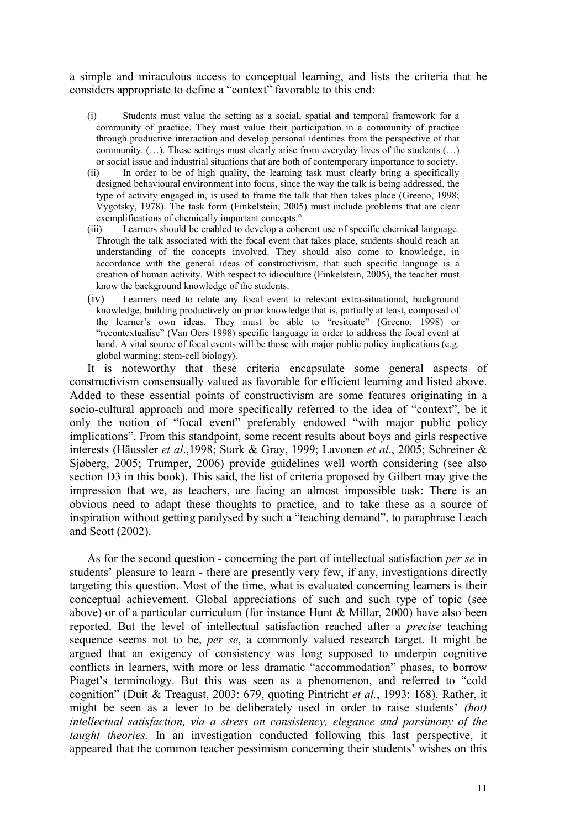a simple and miraculous access to conceptual learning, and lists the criteria that he considers appropriate to define a "context" favorable to this end:

- (i) Students must value the setting as a social, spatial and temporal framework for a community of practice. They must value their participation in a community of practice through productive interaction and develop personal identities from the perspective of that community.  $(...)$ . These settings must clearly arise from everyday lives of the students  $(...)$ or social issue and industrial situations that are both of contemporary importance to society.
- (ii) In order to be of high quality, the learning task must clearly bring a specifically designed behavioural environment into focus, since the way the talk is being addressed, the type of activity engaged in, is used to frame the talk that then takes place (Greeno, 1998; Vygotsky, 1978). The task form (Finkelstein, 2005) must include problems that are clear exemplifications of chemically important concepts.°
- (iii) Learners should be enabled to develop a coherent use of specific chemical language. Through the talk associated with the focal event that takes place, students should reach an understanding of the concepts involved. They should also come to knowledge, in accordance with the general ideas of constructivism, that such specific language is a creation of human activity. With respect to idioculture (Finkelstein, 2005), the teacher must know the background knowledge of the students.
- (iv) Learners need to relate any focal event to relevant extra-situational, background knowledge, building productively on prior knowledge that is, partially at least, composed of the learner's own ideas. They must be able to "resituate" (Greeno, 1998) or "recontextualise" (Van Oers 1998) specific language in order to address the focal event at hand. A vital source of focal events will be those with major public policy implications (e.g. global warming; stem-cell biology).

It is noteworthy that these criteria encapsulate some general aspects of constructivism consensually valued as favorable for efficient learning and listed above. Added to these essential points of constructivism are some features originating in a socio-cultural approach and more specifically referred to the idea of "context", be it only the notion of "focal event" preferably endowed "with major public policy implications". From this standpoint, some recent results about boys and girls respective interests (Häussler et al.,1998; Stark & Gray, 1999; Lavonen et al., 2005; Schreiner & Sjøberg, 2005; Trumper, 2006) provide guidelines well worth considering (see also section D3 in this book). This said, the list of criteria proposed by Gilbert may give the impression that we, as teachers, are facing an almost impossible task: There is an obvious need to adapt these thoughts to practice, and to take these as a source of inspiration without getting paralysed by such a "teaching demand", to paraphrase Leach and Scott (2002).

As for the second question - concerning the part of intellectual satisfaction *per se* in students' pleasure to learn - there are presently very few, if any, investigations directly targeting this question. Most of the time, what is evaluated concerning learners is their conceptual achievement. Global appreciations of such and such type of topic (see above) or of a particular curriculum (for instance Hunt & Millar, 2000) have also been reported. But the level of intellectual satisfaction reached after a precise teaching sequence seems not to be, *per se*, a commonly valued research target. It might be argued that an exigency of consistency was long supposed to underpin cognitive conflicts in learners, with more or less dramatic "accommodation" phases, to borrow Piaget's terminology. But this was seen as a phenomenon, and referred to "cold cognition" (Duit & Treagust, 2003: 679, quoting Pintricht et al., 1993: 168). Rather, it might be seen as a lever to be deliberately used in order to raise students' *(hot)* intellectual satisfaction, via a stress on consistency, elegance and parsimony of the taught theories. In an investigation conducted following this last perspective, it appeared that the common teacher pessimism concerning their students' wishes on this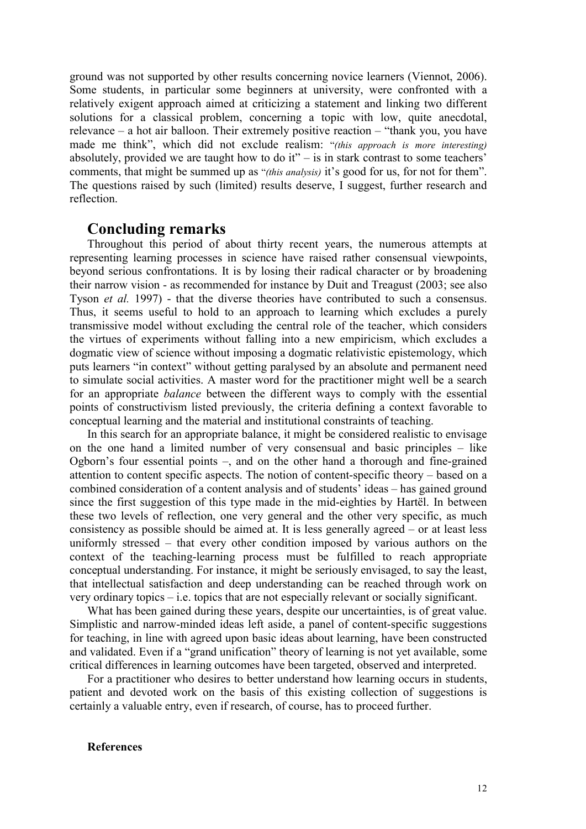ground was not supported by other results concerning novice learners (Viennot, 2006). Some students, in particular some beginners at university, were confronted with a relatively exigent approach aimed at criticizing a statement and linking two different solutions for a classical problem, concerning a topic with low, quite anecdotal, relevance – a hot air balloon. Their extremely positive reaction – "thank you, you have made me think", which did not exclude realism: "(this approach is more interesting) absolutely, provided we are taught how to do it" $-$  is in stark contrast to some teachers' comments, that might be summed up as "(this analysis) it's good for us, for not for them". The questions raised by such (limited) results deserve, I suggest, further research and reflection.

#### Concluding remarks

Throughout this period of about thirty recent years, the numerous attempts at representing learning processes in science have raised rather consensual viewpoints, beyond serious confrontations. It is by losing their radical character or by broadening their narrow vision - as recommended for instance by Duit and Treagust (2003; see also Tyson et al. 1997) - that the diverse theories have contributed to such a consensus. Thus, it seems useful to hold to an approach to learning which excludes a purely transmissive model without excluding the central role of the teacher, which considers the virtues of experiments without falling into a new empiricism, which excludes a dogmatic view of science without imposing a dogmatic relativistic epistemology, which puts learners "in context" without getting paralysed by an absolute and permanent need to simulate social activities. A master word for the practitioner might well be a search for an appropriate balance between the different ways to comply with the essential points of constructivism listed previously, the criteria defining a context favorable to conceptual learning and the material and institutional constraints of teaching.

In this search for an appropriate balance, it might be considered realistic to envisage on the one hand a limited number of very consensual and basic principles – like Ogborn's four essential points –, and on the other hand a thorough and fine-grained attention to content specific aspects. The notion of content-specific theory – based on a combined consideration of a content analysis and of students' ideas – has gained ground since the first suggestion of this type made in the mid-eighties by Hartël. In between these two levels of reflection, one very general and the other very specific, as much consistency as possible should be aimed at. It is less generally agreed – or at least less uniformly stressed – that every other condition imposed by various authors on the context of the teaching-learning process must be fulfilled to reach appropriate conceptual understanding. For instance, it might be seriously envisaged, to say the least, that intellectual satisfaction and deep understanding can be reached through work on very ordinary topics – i.e. topics that are not especially relevant or socially significant.

What has been gained during these years, despite our uncertainties, is of great value. Simplistic and narrow-minded ideas left aside, a panel of content-specific suggestions for teaching, in line with agreed upon basic ideas about learning, have been constructed and validated. Even if a "grand unification" theory of learning is not yet available, some critical differences in learning outcomes have been targeted, observed and interpreted.

For a practitioner who desires to better understand how learning occurs in students, patient and devoted work on the basis of this existing collection of suggestions is certainly a valuable entry, even if research, of course, has to proceed further.

#### **References**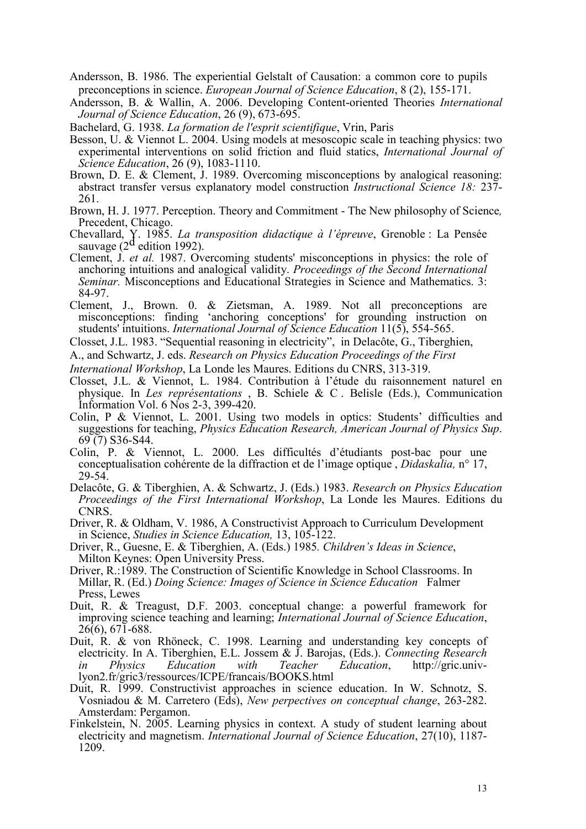- Andersson, B. 1986. The experiential Gelstalt of Causation: a common core to pupils preconceptions in science. European Journal of Science Education, 8 (2), 155-171.
- Andersson, B. & Wallin, A. 2006. Developing Content-oriented Theories International Journal of Science Education, 26 (9), 673-695.

Bachelard, G. 1938. La formation de l'esprit scientifique, Vrin, Paris

- Besson, U. & Viennot L. 2004. Using models at mesoscopic scale in teaching physics: two experimental interventions on solid friction and fluid statics, International Journal of Science Education, 26 (9), 1083-1110.
- Brown, D. E. & Clement, J. 1989. Overcoming misconceptions by analogical reasoning: abstract transfer versus explanatory model construction Instructional Science 18: 237- 261.
- Brown, H. J. 1977. Perception. Theory and Commitment The New philosophy of Science, Precedent, Chicago.
- Chevallard, Y. 1985. *La transposition didactique à l'épreuve*, Grenoble : La Pensée sauvage (2<sup>d</sup> edition 1992).
- Clement, J. et al. 1987. Overcoming students' misconceptions in physics: the role of anchoring intuitions and analogical validity. Proceedings of the Second International Seminar. Misconceptions and Educational Strategies in Science and Mathematics. 3: 84-97.
- Clement, J., Brown. 0. & Zietsman, A. 1989. Not all preconceptions are misconceptions: finding 'anchoring conceptions' for grounding instruction on students' intuitions. International Journal of Science Education 11(5), 554-565.
- Closset, J.L. 1983. "Sequential reasoning in electricity", in Delacôte, G., Tiberghien,
- A., and Schwartz, J. eds. Research on Physics Education Proceedings of the First

International Workshop, La Londe les Maures. Editions du CNRS, 313-319.

- Closset, J.L. & Viennot, L. 1984. Contribution à l'étude du raisonnement naturel en physique. In Les représentations , B. Schiele & C . Belisle (Eds.), Communication Information Vol. 6 Nos 2-3, 399-420.
- Colin, P & Viennot, L. 2001. Using two models in optics: Students' difficulties and suggestions for teaching, Physics Education Research, American Journal of Physics Sup. 69 (7) S36-S44.
- Colin, P. & Viennot, L. 2000. Les difficultés d'étudiants post-bac pour une conceptualisation cohérente de la diffraction et de l'image optique , Didaskalia, n° 17, 29-54.
- Delacôte, G. & Tiberghien, A. & Schwartz, J. (Eds.) 1983. Research on Physics Education Proceedings of the First International Workshop, La Londe les Maures. Editions du CNRS.
- Driver, R. & Oldham, V. 1986, A Constructivist Approach to Curriculum Development in Science, Studies in Science Education, 13, 105-122.
- Driver, R., Guesne, E. & Tiberghien, A. (Eds.) 1985. Children's Ideas in Science, Milton Keynes: Open University Press.
- Driver, R.:1989. The Construction of Scientific Knowledge in School Classrooms. In Millar, R. (Ed.) Doing Science: Images of Science in Science Education Falmer Press, Lewes
- Duit, R. & Treagust, D.F. 2003. conceptual change: a powerful framework for improving science teaching and learning; International Journal of Science Education, 26(6), 671-688.
- Duit, R. & von Rhöneck, C. 1998. Learning and understanding key concepts of electricity. In A. Tiberghien, E.L. Jossem & J. Barojas, (Eds.). Connecting Research in Physics Education with Teacher Education, http://gric.univlyon2.fr/gric3/ressources/ICPE/francais/BOOKS.html
- Duit, R. 1999. Constructivist approaches in science education. In W. Schnotz, S. Vosniadou & M. Carretero (Eds), New perpectives on conceptual change, 263-282. Amsterdam: Pergamon.
- Finkelstein, N. 2005. Learning physics in context. A study of student learning about electricity and magnetism. International Journal of Science Education, 27(10), 1187- 1209.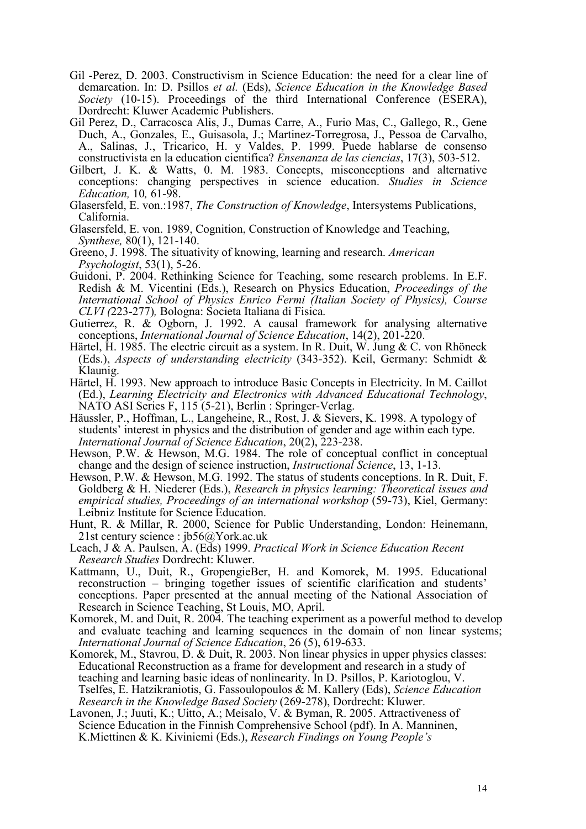- Gil -Perez, D. 2003. Constructivism in Science Education: the need for a clear line of demarcation. In: D. Psillos et al. (Eds), Science Education in the Knowledge Based Society (10-15). Proceedings of the third International Conference (ESERA), Dordrecht: Kluwer Academic Publishers.
- Gil Perez, D., Carracosca Alis, J., Dumas Carre, A., Furio Mas, C., Gallego, R., Gene Duch, A., Gonzales, E., Guisasola, J.; Martinez-Torregrosa, J., Pessoa de Carvalho, A., Salinas, J., Tricarico, H. y Valdes, P. 1999. Puede hablarse de consenso constructivista en la education cientifica? Ensenanza de las ciencias, 17(3), 503-512.
- Gilbert, J. K. & Watts, 0. M. 1983. Concepts, misconceptions and alternative conceptions: changing perspectives in science education. Studies in Science Education, 10, 61-98.
- Glasersfeld, E. von.:1987, The Construction of Knowledge, Intersystems Publications, California.
- Glasersfeld, E. von. 1989, Cognition, Construction of Knowledge and Teaching, Synthese, 80(1), 121-140.
- Greeno, J. 1998. The situativity of knowing, learning and research. American Psychologist, 53(1), 5-26.
- Guidoni, P. 2004. Rethinking Science for Teaching, some research problems. In E.F. Redish & M. Vicentini (Eds.), Research on Physics Education, Proceedings of the International School of Physics Enrico Fermi (Italian Society of Physics), Course CLVI (223-277), Bologna: Societa Italiana di Fisica.
- Gutierrez, R. & Ogborn, J. 1992. A causal framework for analysing alternative conceptions, International Journal of Science Education, 14(2), 201-220.
- Härtel, H. 1985. The electric circuit as a system. In R. Duit, W. Jung & C. von Rhöneck (Eds.), Aspects of understanding electricity (343-352). Keil, Germany: Schmidt & Klaunig.
- Härtel, H. 1993. New approach to introduce Basic Concepts in Electricity. In M. Caillot (Ed.), Learning Electricity and Electronics with Advanced Educational Technology, NATO ASI Series F, 115 (5-21), Berlin : Springer-Verlag.
- Häussler, P., Hoffman, L., Langeheine, R., Rost, J. & Sievers, K. 1998. A typology of students' interest in physics and the distribution of gender and age within each type. International Journal of Science Education, 20(2), 223-238.
- Hewson, P.W. & Hewson, M.G. 1984. The role of conceptual conflict in conceptual change and the design of science instruction, Instructional Science, 13, 1-13.
- Hewson, P.W. & Hewson, M.G. 1992. The status of students conceptions. In R. Duit, F. Goldberg & H. Niederer (Eds.), Research in physics learning: Theoretical issues and empirical studies, Proceedings of an international workshop (59-73), Kiel, Germany: Leibniz Institute for Science Education.
- Hunt, R. & Millar, R. 2000, Science for Public Understanding, London: Heinemann, 21st century science : jb56@York.ac.uk
- Leach, J & A. Paulsen, A. (Eds) 1999. Practical Work in Science Education Recent Research Studies Dordrecht: Kluwer.
- Kattmann, U., Duit, R., GropengieBer, H. and Komorek, M. 1995. Educational reconstruction – bringing together issues of scientific clarification and students' conceptions. Paper presented at the annual meeting of the National Association of Research in Science Teaching, St Louis, MO, April.
- Komorek, M. and Duit, R. 2004. The teaching experiment as a powerful method to develop and evaluate teaching and learning sequences in the domain of non linear systems; International Journal of Science Education, 26 (5), 619-633.
- Komorek, M., Stavrou, D. & Duit, R. 2003. Non linear physics in upper physics classes: Educational Reconstruction as a frame for development and research in a study of teaching and learning basic ideas of nonlinearity. In D. Psillos, P. Kariotoglou, V. Tselfes, E. Hatzikraniotis, G. Fassoulopoulos & M. Kallery (Eds), Science Education Research in the Knowledge Based Society (269-278), Dordrecht: Kluwer.
- Lavonen, J.; Juuti, K.; Uitto, A.; Meisalo, V. & Byman, R. 2005. Attractiveness of Science Education in the Finnish Comprehensive School (pdf). In A. Manninen, K.Miettinen & K. Kiviniemi (Eds.), Research Findings on Young People's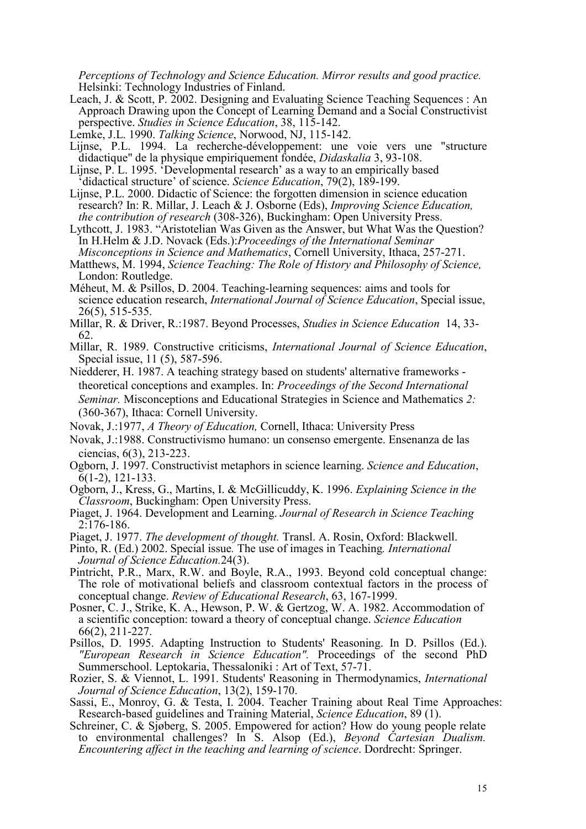Perceptions of Technology and Science Education. Mirror results and good practice. Helsinki: Technology Industries of Finland.

- Leach, J. & Scott, P. 2002. Designing and Evaluating Science Teaching Sequences : An Approach Drawing upon the Concept of Learning Demand and a Social Constructivist perspective. Studies in Science Education, 38, 115-142.
- Lemke, J.L. 1990. Talking Science, Norwood, NJ, 115-142.
- Lijnse, P.L. 1994. La recherche-développement: une voie vers une "structure didactique" de la physique empiriquement fondée, Didaskalia 3, 93-108.
- Lijnse, P. L. 1995. 'Developmental research' as a way to an empirically based didactical structure' of science. Science Education, 79(2), 189-199.
- Lijnse, P.L. 2000. Didactic of Science: the forgotten dimension in science education research? In: R. Millar, J. Leach & J. Osborne (Eds), Improving Science Education, the contribution of research (308-326), Buckingham: Open University Press.
- Lythcott, J. 1983. "Aristotelian Was Given as the Answer, but What Was the Question? In H.Helm & J.D. Novack (Eds.): Proceedings of the International Seminar Misconceptions in Science and Mathematics, Cornell University, Ithaca, 257-271.
- Matthews, M. 1994, Science Teaching: The Role of History and Philosophy of Science, London: Routledge.
- Méheut, M. & Psillos, D. 2004. Teaching-learning sequences: aims and tools for science education research, *International Journal of Science Education*, Special issue, 26(5), 515-535.
- Millar, R. & Driver, R.:1987. Beyond Processes, Studies in Science Education 14, 33- 62.
- Millar, R. 1989. Constructive criticisms, International Journal of Science Education, Special issue, 11 (5), 587-596.
- Niedderer, H. 1987. A teaching strategy based on students' alternative frameworks theoretical conceptions and examples. In: Proceedings of the Second International Seminar. Misconceptions and Educational Strategies in Science and Mathematics 2: (360-367), Ithaca: Cornell University.
- Novak, J.:1977, A Theory of Education, Cornell, Ithaca: University Press
- Novak, J.:1988. Constructivismo humano: un consenso emergente. Ensenanza de las ciencias, 6(3), 213-223.
- Ogborn, J. 1997. Constructivist metaphors in science learning. Science and Education, 6(1-2), 121-133.
- Ogborn, J., Kress, G., Martins, I. & McGillicuddy, K. 1996. Explaining Science in the Classroom, Buckingham: Open University Press.
- Piaget, J. 1964. Development and Learning. Journal of Research in Science Teaching 2:176-186.
- Piaget, J. 1977. The development of thought. Transl. A. Rosin, Oxford: Blackwell.
- Pinto, R. (Ed.) 2002. Special issue. The use of images in Teaching. International Journal of Science Education.24(3).
- Pintricht, P.R., Marx, R.W. and Boyle, R.A., 1993. Beyond cold conceptual change: The role of motivational beliefs and classroom contextual factors in the process of conceptual change. Review of Educational Research, 63, 167-1999.
- Posner, C. J., Strike, K. A., Hewson, P. W. & Gertzog, W. A. 1982. Accommodation of a scientific conception: toward a theory of conceptual change. Science Education 66(2), 211-227.
- Psillos, D. 1995. Adapting Instruction to Students' Reasoning. In D. Psillos (Ed.). "European Research in Science Education". Proceedings of the second PhD Summerschool. Leptokaria, Thessaloniki : Art of Text, 57-71.
- Rozier, S. & Viennot, L. 1991. Students' Reasoning in Thermodynamics, International Journal of Science Education, 13(2), 159-170.
- Sassi, E., Monroy, G. & Testa, I. 2004. Teacher Training about Real Time Approaches: Research-based guidelines and Training Material, Science Education, 89 (1).
- Schreiner, C. & Sjøberg, S. 2005. Empowered for action? How do young people relate to environmental challenges? In S. Alsop (Ed.), Beyond Cartesian Dualism. Encountering affect in the teaching and learning of science. Dordrecht: Springer.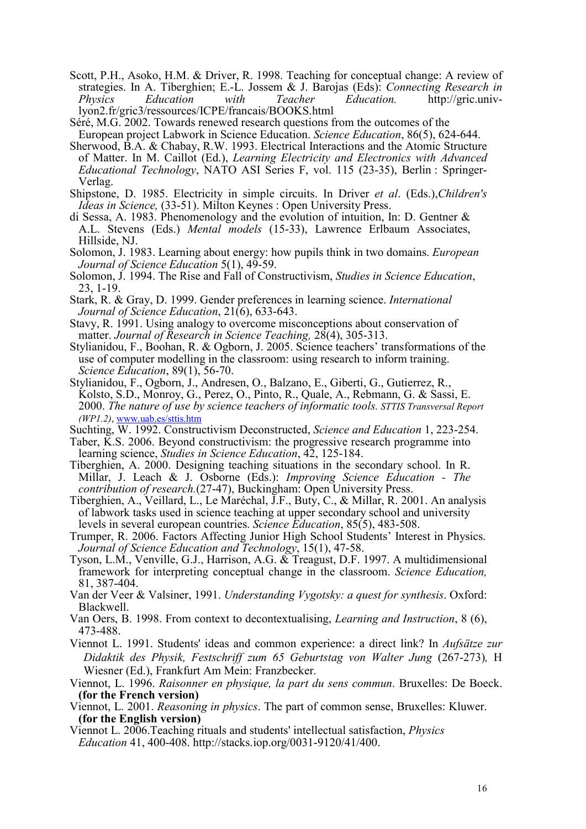Scott, P.H., Asoko, H.M. & Driver, R. 1998. Teaching for conceptual change: A review of strategies. In A. Tiberghien; E.-L. Jossem & J. Barojas (Eds): Connecting Research in Physics Education with Teacher Education. http://gric.univlyon2.fr/gric3/ressources/ICPE/francais/BOOKS.html

Séré, M.G. 2002. Towards renewed research questions from the outcomes of the European project Labwork in Science Education. Science Education, 86(5), 624-644.

- Sherwood, B.A. & Chabay, R.W. 1993. Electrical Interactions and the Atomic Structure of Matter. In M. Caillot (Ed.), Learning Electricity and Electronics with Advanced Educational Technology, NATO ASI Series F, vol. 115 (23-35), Berlin : Springer-Verlag.
- Shipstone, D. 1985. Electricity in simple circuits. In Driver et al. (Eds.),Children's Ideas in Science, (33-51). Milton Keynes : Open University Press.
- di Sessa, A. 1983. Phenomenology and the evolution of intuition, In: D. Gentner & A.L. Stevens (Eds.) Mental models (15-33), Lawrence Erlbaum Associates, Hillside, NJ.
- Solomon, J. 1983. Learning about energy: how pupils think in two domains. European Journal of Science Education 5(1), 49-59.
- Solomon, J. 1994. The Rise and Fall of Constructivism, Studies in Science Education, 23, 1-19.
- Stark, R. & Gray, D. 1999. Gender preferences in learning science. International Journal of Science Education, 21(6), 633-643.
- Stavy, R. 1991. Using analogy to overcome misconceptions about conservation of matter. Journal of Research in Science Teaching, 28(4), 305-313.
- Stylianidou, F., Boohan, R. & Ogborn, J. 2005. Science teachers' transformations of the use of computer modelling in the classroom: using research to inform training. Science Education, 89(1), 56-70.
- Stylianidou, F., Ogborn, J., Andresen, O., Balzano, E., Giberti, G., Gutierrez, R., Kolsto, S.D., Monroy, G., Perez, O., Pinto, R., Quale, A., Rebmann, G. & Sassi, E. 2000. The nature of use by science teachers of informatic tools. STTIS Transversal Report (WP1.2), www.uab.es/sttis.htm
- Suchting, W. 1992. Constructivism Deconstructed, Science and Education 1, 223-254.
- Taber, K.S. 2006. Beyond constructivism: the progressive research programme into learning science, *Studies in Science Education*, 42, 125-184.
- Tiberghien, A. 2000. Designing teaching situations in the secondary school. In R. Millar, J. Leach & J. Osborne (Eds.): Improving Science Education - The contribution of research.(27-47), Buckingham: Open University Press.
- Tiberghien, A., Veillard, L., Le Maréchal, J.F., Buty, C., & Millar, R. 2001. An analysis of labwork tasks used in science teaching at upper secondary school and university levels in several european countries. Science Education, 85(5), 483-508.
- Trumper, R. 2006. Factors Affecting Junior High School Students' Interest in Physics. Journal of Science Education and Technology, 15(1), 47-58.
- Tyson, L.M., Venville, G.J., Harrison, A.G. & Treagust, D.F. 1997. A multidimensional framework for interpreting conceptual change in the classroom. Science Education, 81, 387-404.
- Van der Veer & Valsiner, 1991. Understanding Vygotsky: a quest for synthesis. Oxford: Blackwell.
- Van Oers, B. 1998. From context to decontextualising, Learning and Instruction, 8 (6), 473-488.
- Viennot L. 1991. Students' ideas and common experience: a direct link? In Aufsätze zur Didaktik des Physik, Festschriff zum 65 Geburtstag von Walter Jung (267-273), H Wiesner (Ed.), Frankfurt Am Mein: Franzbecker.
- Viennot, L. 1996. Raisonner en physique, la part du sens commun. Bruxelles: De Boeck. (for the French version)
- Viennot, L. 2001. Reasoning in physics. The part of common sense, Bruxelles: Kluwer. (for the English version)
- Viennot L. 2006.Teaching rituals and students' intellectual satisfaction, Physics Education 41, 400-408. http://stacks.iop.org/0031-9120/41/400.